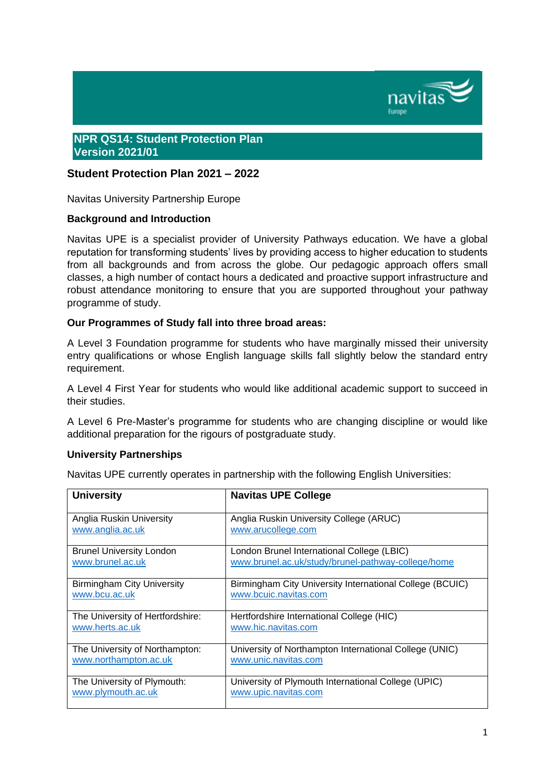

### **NPR QS14: Student Protection Plan Version 2021/01**

## **Student Protection Plan 2021 – 2022**

Navitas University Partnership Europe

### **Background and Introduction**

Navitas UPE is a specialist provider of University Pathways education. We have a global reputation for transforming students' lives by providing access to higher education to students from all backgrounds and from across the globe. Our pedagogic approach offers small classes, a high number of contact hours a dedicated and proactive support infrastructure and robust attendance monitoring to ensure that you are supported throughout your pathway programme of study.

### **Our Programmes of Study fall into three broad areas:**

A Level 3 Foundation programme for students who have marginally missed their university entry qualifications or whose English language skills fall slightly below the standard entry requirement.

A Level 4 First Year for students who would like additional academic support to succeed in their studies.

A Level 6 Pre-Master's programme for students who are changing discipline or would like additional preparation for the rigours of postgraduate study.

#### **University Partnerships**

Navitas UPE currently operates in partnership with the following English Universities:

| <b>University</b>                 | <b>Navitas UPE College</b>                               |
|-----------------------------------|----------------------------------------------------------|
| Anglia Ruskin University          | Anglia Ruskin University College (ARUC)                  |
| www.anglia.ac.uk                  | www.arucollege.com                                       |
| <b>Brunel University London</b>   | London Brunel International College (LBIC)               |
| www.brunel.ac.uk                  | www.brunel.ac.uk/study/brunel-pathway-college/home       |
| <b>Birmingham City University</b> | Birmingham City University International College (BCUIC) |
| www.bcu.ac.uk                     | www.bcuic.navitas.com                                    |
| The University of Hertfordshire:  | Hertfordshire International College (HIC)                |
| www.herts.ac.uk                   | www.hic.navitas.com                                      |
| The University of Northampton:    | University of Northampton International College (UNIC)   |
| www.northampton.ac.uk             | www.unic.navitas.com                                     |
| The University of Plymouth:       | University of Plymouth International College (UPIC)      |
| www.plymouth.ac.uk                | www.upic.navitas.com                                     |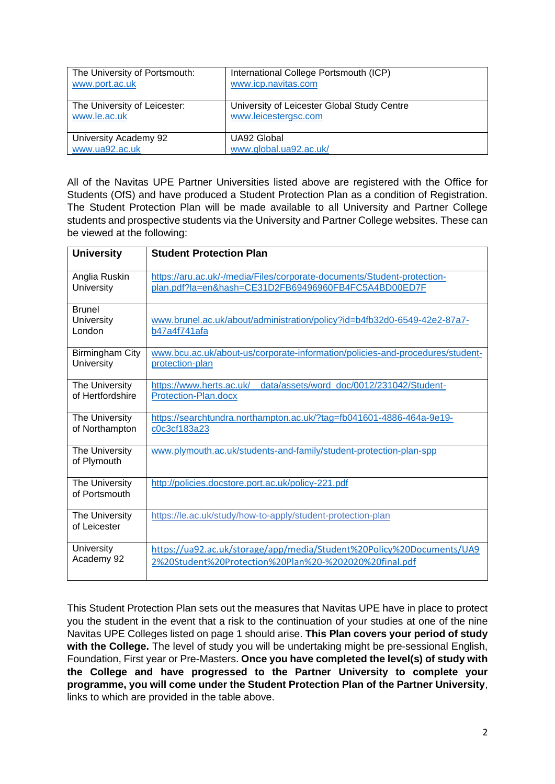| The University of Portsmouth: | International College Portsmouth (ICP)      |
|-------------------------------|---------------------------------------------|
| www.port.ac.uk                | www.icp.navitas.com                         |
| The University of Leicester:  | University of Leicester Global Study Centre |
| www.le.ac.uk                  | www.leicestergsc.com                        |
| University Academy 92         | UA92 Global                                 |
| www.ua92.ac.uk                | www.global.ua92.ac.uk/                      |

All of the Navitas UPE Partner Universities listed above are registered with the Office for Students (OfS) and have produced a Student Protection Plan as a condition of Registration. The Student Protection Plan will be made available to all University and Partner College students and prospective students via the University and Partner College websites. These can be viewed at the following:

| <b>University</b>                     | <b>Student Protection Plan</b>                                                                                                  |  |  |
|---------------------------------------|---------------------------------------------------------------------------------------------------------------------------------|--|--|
|                                       |                                                                                                                                 |  |  |
| Anglia Ruskin<br>University           | https://aru.ac.uk/-/media/Files/corporate-documents/Student-protection-<br>plan.pdf?la=en&hash=CE31D2FB69496960FB4FC5A4BD00ED7F |  |  |
| <b>Brunel</b><br>University<br>London | www.brunel.ac.uk/about/administration/policy?id=b4fb32d0-6549-42e2-87a7-<br>b47a4f741afa                                        |  |  |
| <b>Birmingham City</b><br>University  | www.bcu.ac.uk/about-us/corporate-information/policies-and-procedures/student-<br>protection-plan                                |  |  |
| The University<br>of Hertfordshire    | data/assets/word_doc/0012/231042/Student-<br>https://www.herts.ac.uk/<br>Protection-Plan.docx                                   |  |  |
| The University<br>of Northampton      | https://searchtundra.northampton.ac.uk/?tag=fb041601-4886-464a-9e19-<br>c0c3cf183a23                                            |  |  |
| The University<br>of Plymouth         | www.plymouth.ac.uk/students-and-family/student-protection-plan-spp                                                              |  |  |
| The University<br>of Portsmouth       | http://policies.docstore.port.ac.uk/policy-221.pdf                                                                              |  |  |
| The University<br>of Leicester        | https://le.ac.uk/study/how-to-apply/student-protection-plan                                                                     |  |  |
| University<br>Academy 92              | https://ua92.ac.uk/storage/app/media/Student%20Policy%20Documents/UA9<br>2%20Student%20Protection%20Plan%20-%202020%20final.pdf |  |  |

This Student Protection Plan sets out the measures that Navitas UPE have in place to protect you the student in the event that a risk to the continuation of your studies at one of the nine Navitas UPE Colleges listed on page 1 should arise. **This Plan covers your period of study with the College.** The level of study you will be undertaking might be pre-sessional English, Foundation, First year or Pre-Masters. **Once you have completed the level(s) of study with the College and have progressed to the Partner University to complete your programme, you will come under the Student Protection Plan of the Partner University**, links to which are provided in the table above.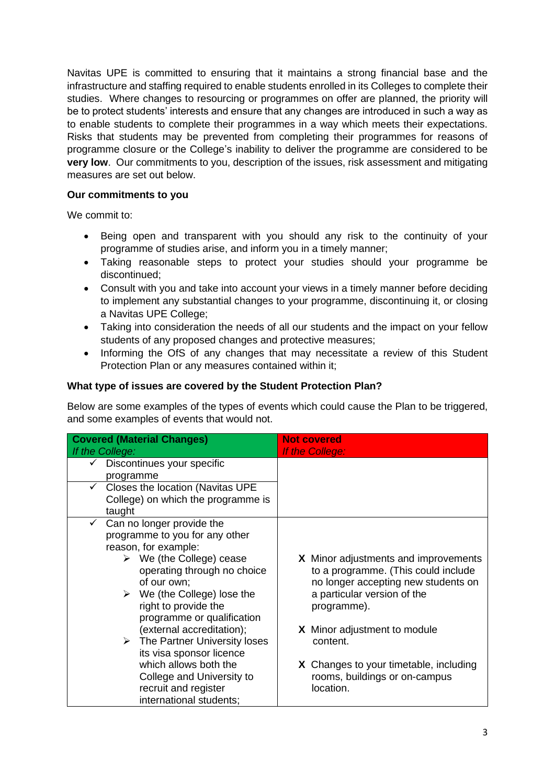Navitas UPE is committed to ensuring that it maintains a strong financial base and the infrastructure and staffing required to enable students enrolled in its Colleges to complete their studies. Where changes to resourcing or programmes on offer are planned, the priority will be to protect students' interests and ensure that any changes are introduced in such a way as to enable students to complete their programmes in a way which meets their expectations. Risks that students may be prevented from completing their programmes for reasons of programme closure or the College's inability to deliver the programme are considered to be **very low.** Our commitments to you, description of the issues, risk assessment and mitigating measures are set out below.

## **Our commitments to you**

We commit to:

- Being open and transparent with you should any risk to the continuity of your programme of studies arise, and inform you in a timely manner;
- Taking reasonable steps to protect your studies should your programme be discontinued;
- Consult with you and take into account your views in a timely manner before deciding to implement any substantial changes to your programme, discontinuing it, or closing a Navitas UPE College;
- Taking into consideration the needs of all our students and the impact on your fellow students of any proposed changes and protective measures;
- Informing the OfS of any changes that may necessitate a review of this Student Protection Plan or any measures contained within it;

## **What type of issues are covered by the Student Protection Plan?**

Below are some examples of the types of events which could cause the Plan to be triggered, and some examples of events that would not.

| <b>Covered (Material Changes)</b>                | <b>Not covered</b>                            |
|--------------------------------------------------|-----------------------------------------------|
| If the College:                                  | If the College:                               |
| Discontinues your specific                       |                                               |
| programme                                        |                                               |
| Closes the location (Navitas UPE<br>$\checkmark$ |                                               |
| College) on which the programme is               |                                               |
| taught                                           |                                               |
| Can no longer provide the<br>$\checkmark$        |                                               |
| programme to you for any other                   |                                               |
| reason, for example:                             |                                               |
| We (the College) cease<br>➤                      | X Minor adjustments and improvements          |
| operating through no choice                      | to a programme. (This could include           |
| of our own;                                      | no longer accepting new students on           |
| $\triangleright$ We (the College) lose the       | a particular version of the                   |
| right to provide the                             | programme).                                   |
| programme or qualification                       |                                               |
| (external accreditation);                        | <b>X</b> Minor adjustment to module           |
| $\triangleright$ The Partner University loses    | content.                                      |
| its visa sponsor licence                         |                                               |
| which allows both the                            | <b>X</b> Changes to your timetable, including |
| College and University to                        | rooms, buildings or on-campus                 |
| recruit and register                             | location.                                     |
| international students;                          |                                               |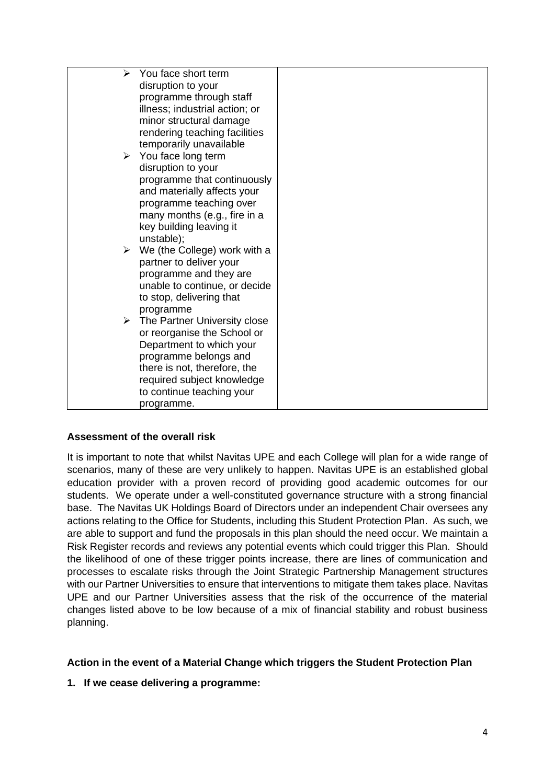| $\blacktriangleright$ | You face short term                           |  |
|-----------------------|-----------------------------------------------|--|
|                       | disruption to your                            |  |
|                       | programme through staff                       |  |
|                       | illness; industrial action; or                |  |
|                       | minor structural damage                       |  |
|                       | rendering teaching facilities                 |  |
|                       |                                               |  |
|                       | temporarily unavailable                       |  |
|                       | $\triangleright$ You face long term           |  |
|                       | disruption to your                            |  |
|                       | programme that continuously                   |  |
|                       | and materially affects your                   |  |
|                       | programme teaching over                       |  |
|                       | many months (e.g., fire in a                  |  |
|                       | key building leaving it                       |  |
|                       | unstable);                                    |  |
|                       | $\triangleright$ We (the College) work with a |  |
|                       | partner to deliver your                       |  |
|                       | programme and they are                        |  |
|                       | unable to continue, or decide                 |  |
|                       | to stop, delivering that                      |  |
|                       | programme                                     |  |
|                       | $\triangleright$ The Partner University close |  |
|                       | or reorganise the School or                   |  |
|                       | Department to which your                      |  |
|                       | programme belongs and                         |  |
|                       | there is not, therefore, the                  |  |
|                       | required subject knowledge                    |  |
|                       | to continue teaching your                     |  |
|                       | programme.                                    |  |

### **Assessment of the overall risk**

It is important to note that whilst Navitas UPE and each College will plan for a wide range of scenarios, many of these are very unlikely to happen. Navitas UPE is an established global education provider with a proven record of providing good academic outcomes for our students. We operate under a well-constituted governance structure with a strong financial base. The Navitas UK Holdings Board of Directors under an independent Chair oversees any actions relating to the Office for Students, including this Student Protection Plan. As such, we are able to support and fund the proposals in this plan should the need occur. We maintain a Risk Register records and reviews any potential events which could trigger this Plan. Should the likelihood of one of these trigger points increase, there are lines of communication and processes to escalate risks through the Joint Strategic Partnership Management structures with our Partner Universities to ensure that interventions to mitigate them takes place. Navitas UPE and our Partner Universities assess that the risk of the occurrence of the material changes listed above to be low because of a mix of financial stability and robust business planning.

# **Action in the event of a Material Change which triggers the Student Protection Plan**

**1. If we cease delivering a programme:**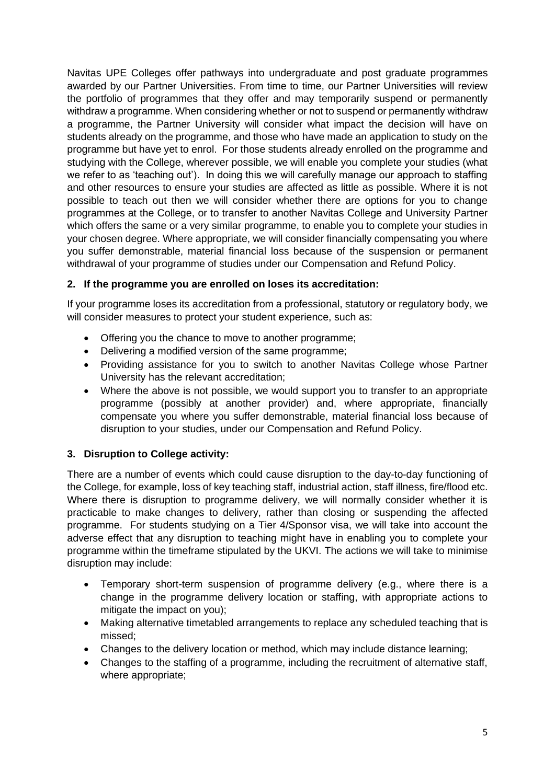Navitas UPE Colleges offer pathways into undergraduate and post graduate programmes awarded by our Partner Universities. From time to time, our Partner Universities will review the portfolio of programmes that they offer and may temporarily suspend or permanently withdraw a programme. When considering whether or not to suspend or permanently withdraw a programme, the Partner University will consider what impact the decision will have on students already on the programme, and those who have made an application to study on the programme but have yet to enrol. For those students already enrolled on the programme and studying with the College, wherever possible, we will enable you complete your studies (what we refer to as 'teaching out'). In doing this we will carefully manage our approach to staffing and other resources to ensure your studies are affected as little as possible. Where it is not possible to teach out then we will consider whether there are options for you to change programmes at the College, or to transfer to another Navitas College and University Partner which offers the same or a very similar programme, to enable you to complete your studies in your chosen degree. Where appropriate, we will consider financially compensating you where you suffer demonstrable, material financial loss because of the suspension or permanent withdrawal of your programme of studies under our Compensation and Refund Policy.

# **2. If the programme you are enrolled on loses its accreditation:**

If your programme loses its accreditation from a professional, statutory or regulatory body, we will consider measures to protect your student experience, such as:

- Offering you the chance to move to another programme;
- Delivering a modified version of the same programme;
- Providing assistance for you to switch to another Navitas College whose Partner University has the relevant accreditation;
- Where the above is not possible, we would support you to transfer to an appropriate programme (possibly at another provider) and, where appropriate, financially compensate you where you suffer demonstrable, material financial loss because of disruption to your studies, under our Compensation and Refund Policy.

# **3. Disruption to College activity:**

There are a number of events which could cause disruption to the day-to-day functioning of the College, for example, loss of key teaching staff, industrial action, staff illness, fire/flood etc. Where there is disruption to programme delivery, we will normally consider whether it is practicable to make changes to delivery, rather than closing or suspending the affected programme. For students studying on a Tier 4/Sponsor visa, we will take into account the adverse effect that any disruption to teaching might have in enabling you to complete your programme within the timeframe stipulated by the UKVI. The actions we will take to minimise disruption may include:

- Temporary short-term suspension of programme delivery (e.g., where there is a change in the programme delivery location or staffing, with appropriate actions to mitigate the impact on you);
- Making alternative timetabled arrangements to replace any scheduled teaching that is missed;
- Changes to the delivery location or method, which may include distance learning;
- Changes to the staffing of a programme, including the recruitment of alternative staff, where appropriate;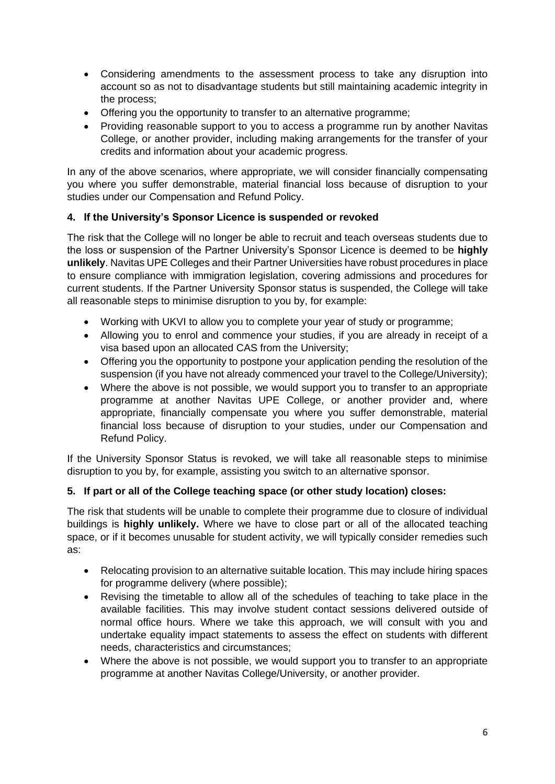- Considering amendments to the assessment process to take any disruption into account so as not to disadvantage students but still maintaining academic integrity in the process;
- Offering you the opportunity to transfer to an alternative programme;
- Providing reasonable support to you to access a programme run by another Navitas College, or another provider, including making arrangements for the transfer of your credits and information about your academic progress.

In any of the above scenarios, where appropriate, we will consider financially compensating you where you suffer demonstrable, material financial loss because of disruption to your studies under our Compensation and Refund Policy.

# **4. If the University's Sponsor Licence is suspended or revoked**

The risk that the College will no longer be able to recruit and teach overseas students due to the loss or suspension of the Partner University's Sponsor Licence is deemed to be **highly unlikely**. Navitas UPE Colleges and their Partner Universities have robust procedures in place to ensure compliance with immigration legislation, covering admissions and procedures for current students. If the Partner University Sponsor status is suspended, the College will take all reasonable steps to minimise disruption to you by, for example:

- Working with UKVI to allow you to complete your year of study or programme;
- Allowing you to enrol and commence your studies, if you are already in receipt of a visa based upon an allocated CAS from the University;
- Offering you the opportunity to postpone your application pending the resolution of the suspension (if you have not already commenced your travel to the College/University);
- Where the above is not possible, we would support you to transfer to an appropriate programme at another Navitas UPE College, or another provider and, where appropriate, financially compensate you where you suffer demonstrable, material financial loss because of disruption to your studies, under our Compensation and Refund Policy.

If the University Sponsor Status is revoked, we will take all reasonable steps to minimise disruption to you by, for example, assisting you switch to an alternative sponsor.

# **5. If part or all of the College teaching space (or other study location) closes:**

The risk that students will be unable to complete their programme due to closure of individual buildings is **highly unlikely.** Where we have to close part or all of the allocated teaching space, or if it becomes unusable for student activity, we will typically consider remedies such as:

- Relocating provision to an alternative suitable location. This may include hiring spaces for programme delivery (where possible);
- Revising the timetable to allow all of the schedules of teaching to take place in the available facilities. This may involve student contact sessions delivered outside of normal office hours. Where we take this approach, we will consult with you and undertake equality impact statements to assess the effect on students with different needs, characteristics and circumstances;
- Where the above is not possible, we would support you to transfer to an appropriate programme at another Navitas College/University, or another provider.